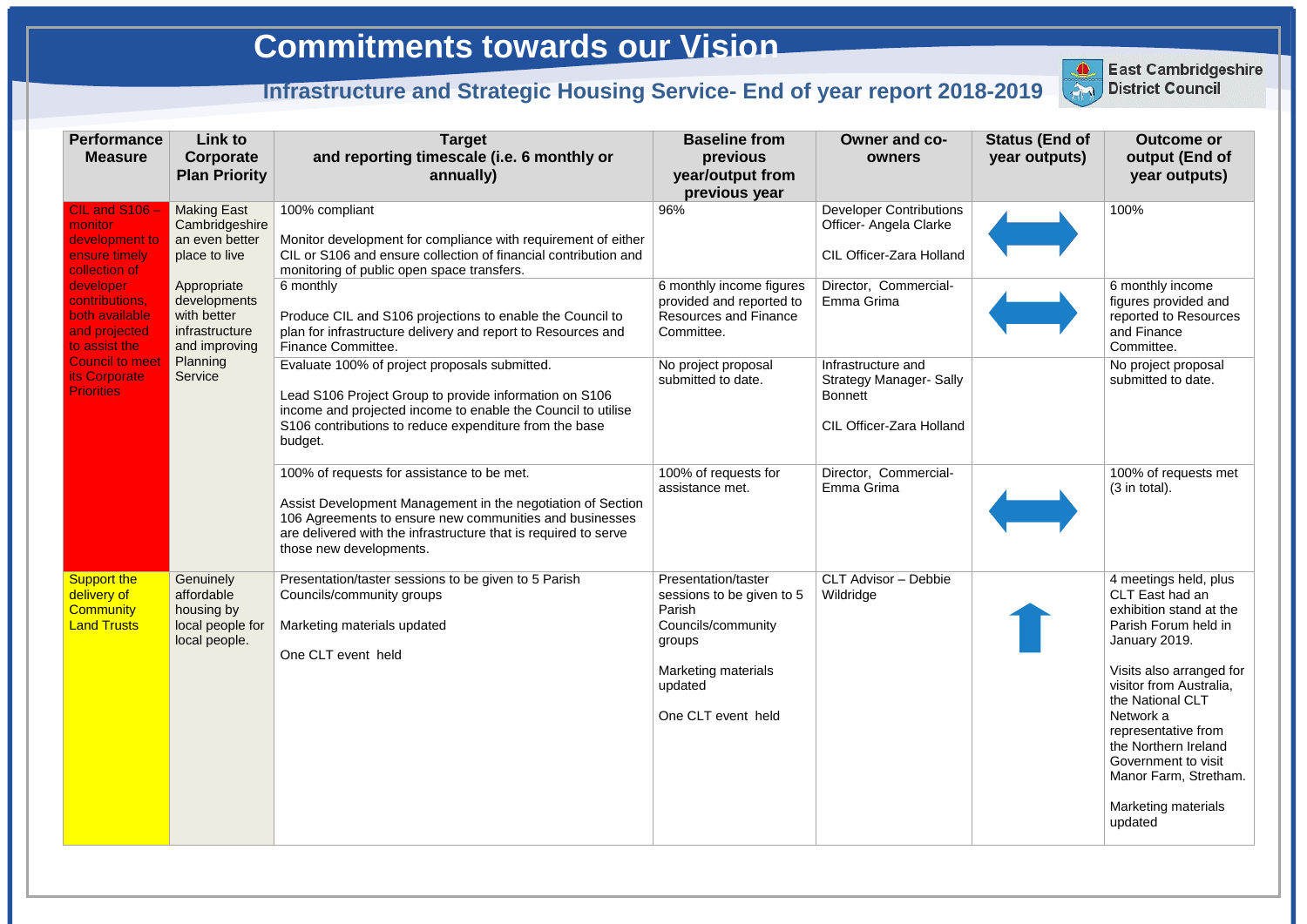| <b>Performance</b><br><b>Measure</b>                                                                       | Link to<br>Corporate<br><b>Plan Priority</b>                                                           | <b>Target</b><br>and reporting timescale (i.e. 6 monthly or<br>annually)                                                                                                                                                                                           | <b>Baseline from</b><br>previous<br>year/output from<br>previous year                                                                                     | <b>Owner and co-</b><br>owners                                                                                                     | <b>Status (End of</b><br>year outputs) | <b>Outcome or</b><br>output (End of<br>year outputs)                                                                                                                                                                                                                                                                                         |
|------------------------------------------------------------------------------------------------------------|--------------------------------------------------------------------------------------------------------|--------------------------------------------------------------------------------------------------------------------------------------------------------------------------------------------------------------------------------------------------------------------|-----------------------------------------------------------------------------------------------------------------------------------------------------------|------------------------------------------------------------------------------------------------------------------------------------|----------------------------------------|----------------------------------------------------------------------------------------------------------------------------------------------------------------------------------------------------------------------------------------------------------------------------------------------------------------------------------------------|
| CIL and S106<br>monitor<br>development to<br>ensure timely<br>collection of<br>developer<br>contributions, | <b>Making East</b><br>Cambridgeshire<br>an even better<br>place to live<br>Appropriate<br>developments | 100% compliant<br>Monitor development for compliance with requirement of either<br>CIL or S106 and ensure collection of financial contribution and<br>monitoring of public open space transfers.<br>6 monthly                                                      | 96%<br>6 monthly income figures<br>provided and reported to                                                                                               | <b>Developer Contributions</b><br>Officer- Angela Clarke<br><b>CIL Officer-Zara Holland</b><br>Director, Commercial-<br>Emma Grima |                                        | 100%<br>6 monthly income<br>figures provided and                                                                                                                                                                                                                                                                                             |
| both available<br>and projected<br>to assist the                                                           | with better<br>infrastructure<br>and improving                                                         | Produce CIL and S106 projections to enable the Council to<br>plan for infrastructure delivery and report to Resources and<br>Finance Committee.                                                                                                                    | <b>Resources and Finance</b><br>Committee.                                                                                                                |                                                                                                                                    |                                        | reported to Resources<br>and Finance<br>Committee.                                                                                                                                                                                                                                                                                           |
| <b>Council to meet</b><br>its Corporate<br><b>Priorities</b>                                               | Planning<br>Service                                                                                    | Evaluate 100% of project proposals submitted.<br>Lead S106 Project Group to provide information on S106<br>income and projected income to enable the Council to utilise<br>S106 contributions to reduce expenditure from the base<br>budget.                       | No project proposal<br>submitted to date.                                                                                                                 | Infrastructure and<br><b>Strategy Manager- Sally</b><br><b>Bonnett</b><br>CIL Officer-Zara Holland                                 |                                        | No project proposal<br>submitted to date.                                                                                                                                                                                                                                                                                                    |
|                                                                                                            |                                                                                                        | 100% of requests for assistance to be met.<br>Assist Development Management in the negotiation of Section<br>106 Agreements to ensure new communities and businesses<br>are delivered with the infrastructure that is required to serve<br>those new developments. | 100% of requests for<br>assistance met.                                                                                                                   | Director, Commercial-<br>Emma Grima                                                                                                |                                        | 100% of requests met<br>$(3$ in total).                                                                                                                                                                                                                                                                                                      |
| <b>Support the</b><br>delivery of<br><b>Community</b><br><b>Land Trusts</b>                                | Genuinely<br>affordable<br>housing by<br>local people for<br>local people.                             | Presentation/taster sessions to be given to 5 Parish<br>Councils/community groups<br>Marketing materials updated<br>One CLT event held                                                                                                                             | Presentation/taster<br>sessions to be given to 5<br>Parish<br>Councils/community<br>groups<br><b>Marketing materials</b><br>updated<br>One CLT event held | <b>CLT Advisor - Debbie</b><br>Wildridge                                                                                           |                                        | 4 meetings held, plus<br>CLT East had an<br>exhibition stand at the<br>Parish Forum held in<br>January 2019.<br>Visits also arranged for<br>visitor from Australia,<br>the National CLT<br>Network a<br>representative from<br>the Northern Ireland<br>Government to visit<br>Manor Farm, Stretham.<br><b>Marketing materials</b><br>updated |





**East Cambridgeshire District Council**

## **Commitments towards our Vision**

l

## **Infrastructure and Strategic Housing Service- End of year report 2018-2019**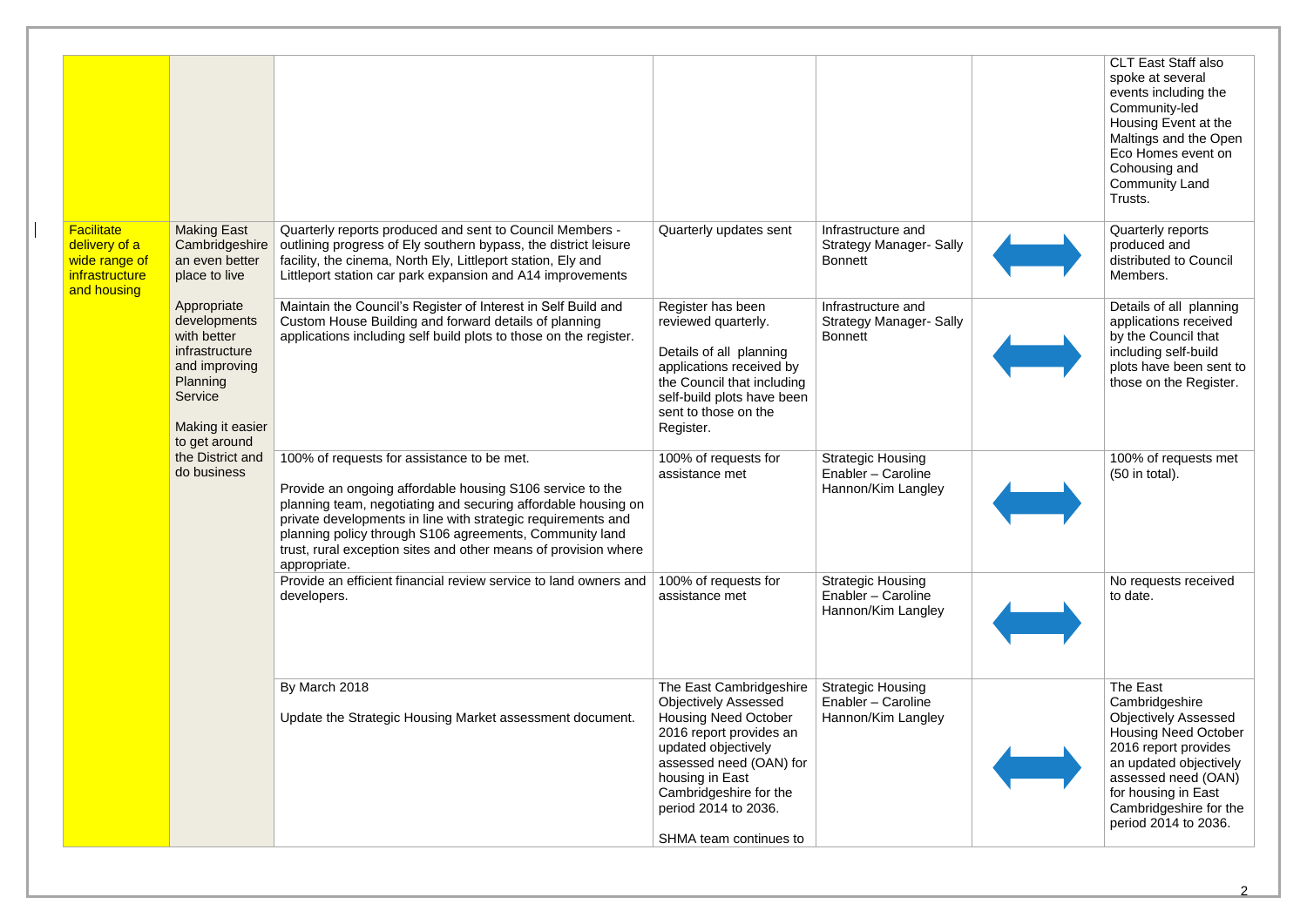|                                                                                      |                                                                                                                                                  |                                                                                                                                                                                                                                                                                                                                                                                        |                                                                                                                                                                                                                                                                   |                                                                        | <b>CLT East Staff also</b><br>spoke at several<br>events including the<br>Community-led<br>Housing Event at the<br>Maltings and the Open<br>Eco Homes event on<br>Cohousing and<br><b>Community Land</b><br>Trusts.                        |
|--------------------------------------------------------------------------------------|--------------------------------------------------------------------------------------------------------------------------------------------------|----------------------------------------------------------------------------------------------------------------------------------------------------------------------------------------------------------------------------------------------------------------------------------------------------------------------------------------------------------------------------------------|-------------------------------------------------------------------------------------------------------------------------------------------------------------------------------------------------------------------------------------------------------------------|------------------------------------------------------------------------|--------------------------------------------------------------------------------------------------------------------------------------------------------------------------------------------------------------------------------------------|
| <b>Facilitate</b><br>delivery of a<br>wide range of<br>infrastructure<br>and housing | <b>Making East</b><br>Cambridgeshire<br>an even better<br>place to live                                                                          | Quarterly reports produced and sent to Council Members -<br>outlining progress of Ely southern bypass, the district leisure<br>facility, the cinema, North Ely, Littleport station, Ely and<br>Littleport station car park expansion and A14 improvements                                                                                                                              | Quarterly updates sent                                                                                                                                                                                                                                            | Infrastructure and<br><b>Strategy Manager- Sally</b><br><b>Bonnett</b> | <b>Quarterly reports</b><br>produced and<br>distributed to Council<br>Members.                                                                                                                                                             |
|                                                                                      | Appropriate<br>developments<br>with better<br>infrastructure<br>and improving<br><b>Planning</b><br>Service<br>Making it easier<br>to get around | Maintain the Council's Register of Interest in Self Build and<br>Custom House Building and forward details of planning<br>applications including self build plots to those on the register.                                                                                                                                                                                            | Register has been<br>reviewed quarterly.<br>Details of all planning<br>applications received by<br>the Council that including<br>self-build plots have been<br>sent to those on the<br>Register.                                                                  | Infrastructure and<br><b>Strategy Manager- Sally</b><br><b>Bonnett</b> | Details of all planning<br>applications received<br>by the Council that<br>including self-build<br>plots have been sent to<br>those on the Register.                                                                                       |
|                                                                                      | the District and<br>do business                                                                                                                  | 100% of requests for assistance to be met.<br>Provide an ongoing affordable housing S106 service to the<br>planning team, negotiating and securing affordable housing on<br>private developments in line with strategic requirements and<br>planning policy through S106 agreements, Community land<br>trust, rural exception sites and other means of provision where<br>appropriate. | 100% of requests for<br>assistance met                                                                                                                                                                                                                            | <b>Strategic Housing</b><br>Enabler - Caroline<br>Hannon/Kim Langley   | 100% of requests met<br>$(50$ in total).                                                                                                                                                                                                   |
|                                                                                      |                                                                                                                                                  | Provide an efficient financial review service to land owners and<br>developers.                                                                                                                                                                                                                                                                                                        | 100% of requests for<br>assistance met                                                                                                                                                                                                                            | <b>Strategic Housing</b><br>Enabler - Caroline<br>Hannon/Kim Langley   | No requests received<br>to date.                                                                                                                                                                                                           |
|                                                                                      |                                                                                                                                                  | By March 2018<br>Update the Strategic Housing Market assessment document.                                                                                                                                                                                                                                                                                                              | The East Cambridgeshire<br><b>Objectively Assessed</b><br><b>Housing Need October</b><br>2016 report provides an<br>updated objectively<br>assessed need (OAN) for<br>housing in East<br>Cambridgeshire for the<br>period 2014 to 2036.<br>SHMA team continues to | <b>Strategic Housing</b><br>Enabler - Caroline<br>Hannon/Kim Langley   | The East<br>Cambridgeshire<br><b>Objectively Assessed</b><br><b>Housing Need October</b><br>2016 report provides<br>an updated objectively<br>assessed need (OAN)<br>for housing in East<br>Cambridgeshire for the<br>period 2014 to 2036. |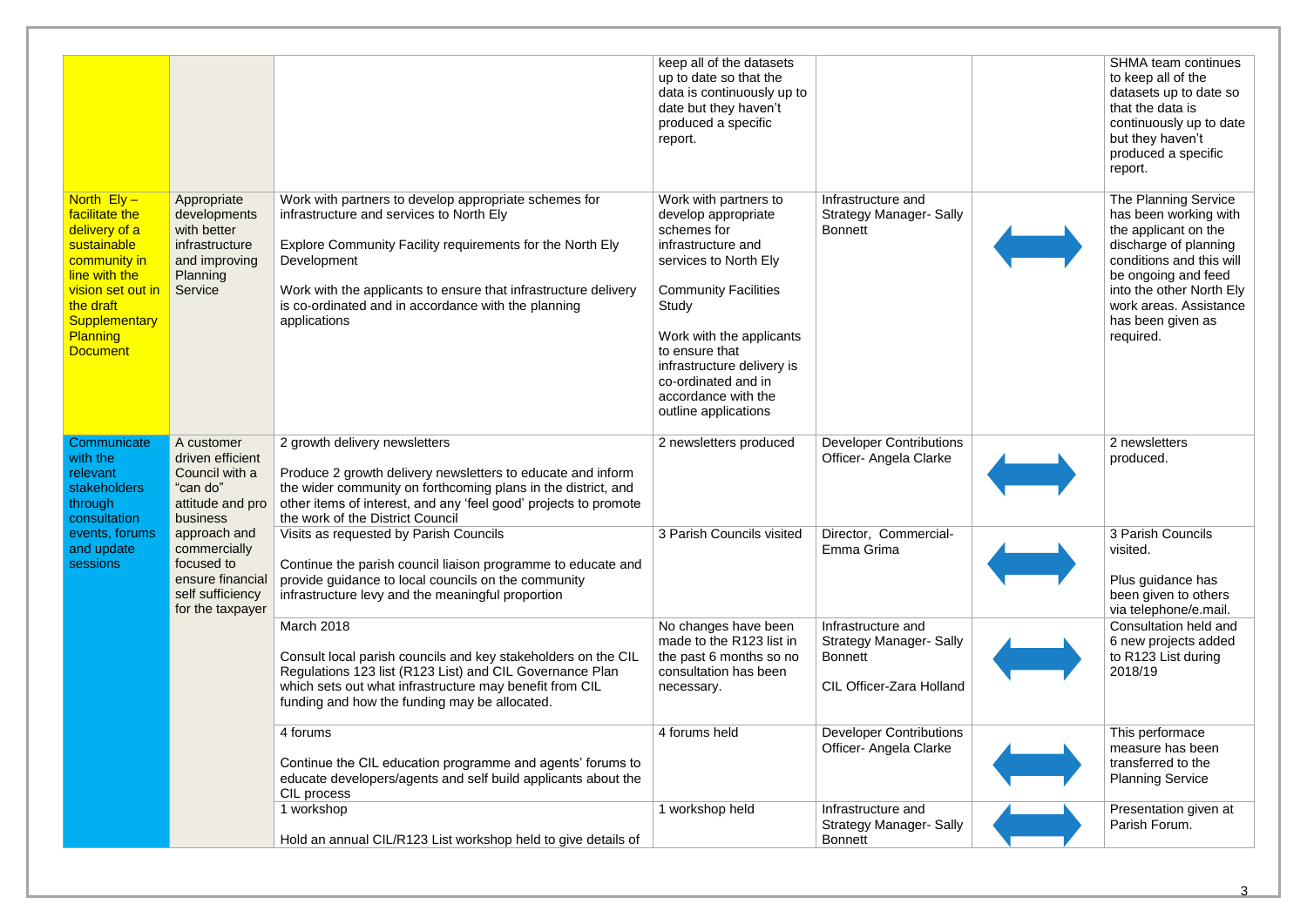|                                                                                                                                                                                    |                                                                                                        |                                                                                                                                                                                                                                                                                                                         | keep all of the datasets<br>up to date so that the<br>data is continuously up to<br>date but they haven't<br>produced a specific<br>report.                                                                                                                                                          |                                                                                                    | <b>SHMA team continues</b><br>to keep all of the<br>datasets up to date so<br>that the data is<br>continuously up to date<br>but they haven't<br>produced a specific<br>report.                                                           |
|------------------------------------------------------------------------------------------------------------------------------------------------------------------------------------|--------------------------------------------------------------------------------------------------------|-------------------------------------------------------------------------------------------------------------------------------------------------------------------------------------------------------------------------------------------------------------------------------------------------------------------------|------------------------------------------------------------------------------------------------------------------------------------------------------------------------------------------------------------------------------------------------------------------------------------------------------|----------------------------------------------------------------------------------------------------|-------------------------------------------------------------------------------------------------------------------------------------------------------------------------------------------------------------------------------------------|
| North $Ely -$<br>facilitate the<br>delivery of a<br>sustainable<br>community in<br>line with the<br>vision set out in<br>the draft<br>Supplementary<br>Planning<br><b>Document</b> | Appropriate<br>developments<br>with better<br>infrastructure<br>and improving<br>Planning<br>Service   | Work with partners to develop appropriate schemes for<br>infrastructure and services to North Ely<br>Explore Community Facility requirements for the North Ely<br>Development<br>Work with the applicants to ensure that infrastructure delivery<br>is co-ordinated and in accordance with the planning<br>applications | Work with partners to<br>develop appropriate<br>schemes for<br>infrastructure and<br>services to North Ely<br><b>Community Facilities</b><br>Study<br>Work with the applicants<br>to ensure that<br>infrastructure delivery is<br>co-ordinated and in<br>accordance with the<br>outline applications | Infrastructure and<br><b>Strategy Manager- Sally</b><br><b>Bonnett</b>                             | The Planning Service<br>has been working with<br>the applicant on the<br>discharge of planning<br>conditions and this will<br>be ongoing and feed<br>into the other North Ely<br>work areas. Assistance<br>has been given as<br>required. |
| Communicate<br>with the<br>relevant<br>stakeholders<br>through<br>consultation                                                                                                     | A customer<br>driven efficient<br>Council with a<br>"can do"<br>attitude and pro<br>business           | 2 growth delivery newsletters<br>Produce 2 growth delivery newsletters to educate and inform<br>the wider community on forthcoming plans in the district, and<br>other items of interest, and any 'feel good' projects to promote<br>the work of the District Council                                                   | 2 newsletters produced                                                                                                                                                                                                                                                                               | <b>Developer Contributions</b><br>Officer- Angela Clarke                                           | 2 newsletters<br>produced.                                                                                                                                                                                                                |
| events, forums<br>and update<br>sessions                                                                                                                                           | approach and<br>commercially<br>focused to<br>ensure financial<br>self sufficiency<br>for the taxpayer | Visits as requested by Parish Councils<br>Continue the parish council liaison programme to educate and<br>provide guidance to local councils on the community<br>infrastructure levy and the meaningful proportion                                                                                                      | 3 Parish Councils visited                                                                                                                                                                                                                                                                            | Director, Commercial-<br>Emma Grima                                                                | 3 Parish Councils<br>visited.<br>Plus guidance has<br>been given to others<br>via telephone/e.mail.                                                                                                                                       |
|                                                                                                                                                                                    |                                                                                                        | March 2018<br>Consult local parish councils and key stakeholders on the CIL<br>Regulations 123 list (R123 List) and CIL Governance Plan<br>which sets out what infrastructure may benefit from CIL<br>funding and how the funding may be allocated.                                                                     | No changes have been<br>made to the R123 list in<br>the past 6 months so no<br>consultation has been<br>necessary.                                                                                                                                                                                   | Infrastructure and<br><b>Strategy Manager- Sally</b><br><b>Bonnett</b><br>CIL Officer-Zara Holland | Consultation held and<br>6 new projects added<br>to R123 List during<br>2018/19                                                                                                                                                           |
|                                                                                                                                                                                    |                                                                                                        | 4 forums<br>Continue the CIL education programme and agents' forums to<br>educate developers/agents and self build applicants about the<br>CIL process                                                                                                                                                                  | 4 forums held                                                                                                                                                                                                                                                                                        | <b>Developer Contributions</b><br>Officer- Angela Clarke                                           | This performace<br>measure has been<br>transferred to the<br><b>Planning Service</b>                                                                                                                                                      |
|                                                                                                                                                                                    |                                                                                                        | 1 workshop<br>Hold an annual CIL/R123 List workshop held to give details of                                                                                                                                                                                                                                             | 1 workshop held                                                                                                                                                                                                                                                                                      | Infrastructure and<br><b>Strategy Manager- Sally</b><br><b>Bonnett</b>                             | Presentation given at<br>Parish Forum.                                                                                                                                                                                                    |